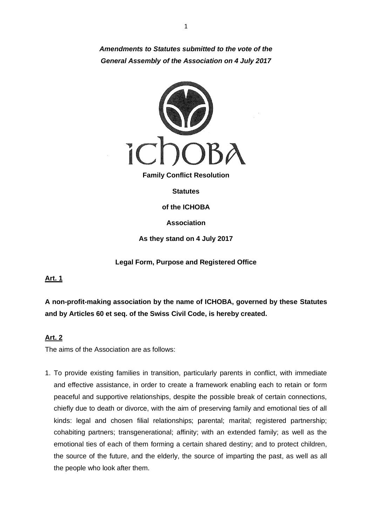*Amendments to Statutes submitted to the vote of the General Assembly of the Association on 4 July 2017*



**Family Conflict Resolution**

**Statutes**

**of the ICHOBA**

**Association**

**As they stand on 4 July 2017**

**Legal Form, Purpose and Registered Office**

**Art. 1**

**A non-profit-making association by the name of ICHOBA, governed by these Statutes and by Articles 60 et seq. of the Swiss Civil Code, is hereby created.**

# **Art. 2**

The aims of the Association are as follows:

1. To provide existing families in transition, particularly parents in conflict, with immediate and effective assistance, in order to create a framework enabling each to retain or form peaceful and supportive relationships, despite the possible break of certain connections, chiefly due to death or divorce, with the aim of preserving family and emotional ties of all kinds: legal and chosen filial relationships; parental; marital; registered partnership; cohabiting partners; transgenerational; affinity; with an extended family; as well as the emotional ties of each of them forming a certain shared destiny; and to protect children, the source of the future, and the elderly, the source of imparting the past, as well as all the people who look after them.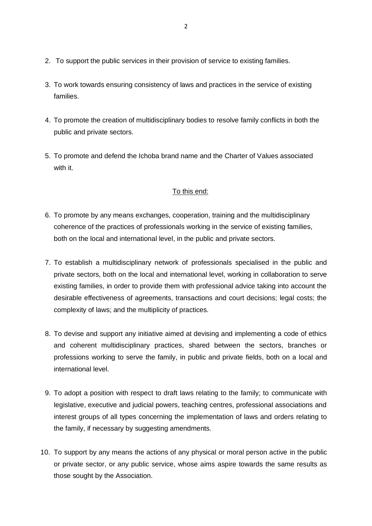- 2. To support the public services in their provision of service to existing families.
- 3. To work towards ensuring consistency of laws and practices in the service of existing families.
- 4. To promote the creation of multidisciplinary bodies to resolve family conflicts in both the public and private sectors.
- 5. To promote and defend the Ichoba brand name and the Charter of Values associated with it.

### To this end:

- 6. To promote by any means exchanges, cooperation, training and the multidisciplinary coherence of the practices of professionals working in the service of existing families, both on the local and international level, in the public and private sectors.
- 7. To establish a multidisciplinary network of professionals specialised in the public and private sectors, both on the local and international level, working in collaboration to serve existing families, in order to provide them with professional advice taking into account the desirable effectiveness of agreements, transactions and court decisions; legal costs; the complexity of laws; and the multiplicity of practices.
- 8. To devise and support any initiative aimed at devising and implementing a code of ethics and coherent multidisciplinary practices, shared between the sectors, branches or professions working to serve the family, in public and private fields, both on a local and international level.
- 9. To adopt a position with respect to draft laws relating to the family; to communicate with legislative, executive and judicial powers, teaching centres, professional associations and interest groups of all types concerning the implementation of laws and orders relating to the family, if necessary by suggesting amendments.
- 10. To support by any means the actions of any physical or moral person active in the public or private sector, or any public service, whose aims aspire towards the same results as those sought by the Association.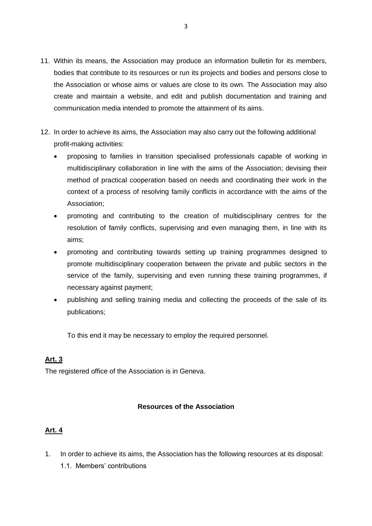- 11. Within its means, the Association may produce an information bulletin for its members, bodies that contribute to its resources or run its projects and bodies and persons close to the Association or whose aims or values are close to its own. The Association may also create and maintain a website, and edit and publish documentation and training and communication media intended to promote the attainment of its aims.
- 12. In order to achieve its aims, the Association may also carry out the following additional profit-making activities:
	- proposing to families in transition specialised professionals capable of working in multidisciplinary collaboration in line with the aims of the Association; devising their method of practical cooperation based on needs and coordinating their work in the context of a process of resolving family conflicts in accordance with the aims of the Association;
	- promoting and contributing to the creation of multidisciplinary centres for the resolution of family conflicts, supervising and even managing them, in line with its aims;
	- promoting and contributing towards setting up training programmes designed to promote multidisciplinary cooperation between the private and public sectors in the service of the family, supervising and even running these training programmes, if necessary against payment;
	- publishing and selling training media and collecting the proceeds of the sale of its publications;

To this end it may be necessary to employ the required personnel.

# **Art. 3**

The registered office of the Association is in Geneva.

# **Resources of the Association**

# **Art. 4**

- 1. In order to achieve its aims, the Association has the following resources at its disposal:
	- 1.1. Members' contributions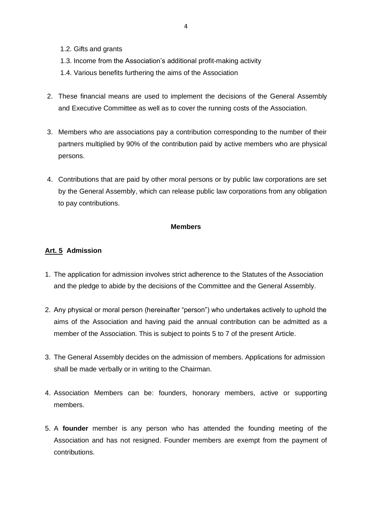- 1.2. Gifts and grants
- 1.3. Income from the Association's additional profit-making activity
- 1.4. Various benefits furthering the aims of the Association
- 2. These financial means are used to implement the decisions of the General Assembly and Executive Committee as well as to cover the running costs of the Association.
- 3. Members who are associations pay a contribution corresponding to the number of their partners multiplied by 90% of the contribution paid by active members who are physical persons.
- 4. Contributions that are paid by other moral persons or by public law corporations are set by the General Assembly, which can release public law corporations from any obligation to pay contributions.

#### **Members**

### **Art. 5 Admission**

- 1. The application for admission involves strict adherence to the Statutes of the Association and the pledge to abide by the decisions of the Committee and the General Assembly.
- 2. Any physical or moral person (hereinafter "person") who undertakes actively to uphold the aims of the Association and having paid the annual contribution can be admitted as a member of the Association. This is subject to points 5 to 7 of the present Article.
- 3. The General Assembly decides on the admission of members. Applications for admission shall be made verbally or in writing to the Chairman.
- 4. Association Members can be: founders, honorary members, active or supporting members.
- 5. A **founder** member is any person who has attended the founding meeting of the Association and has not resigned. Founder members are exempt from the payment of contributions.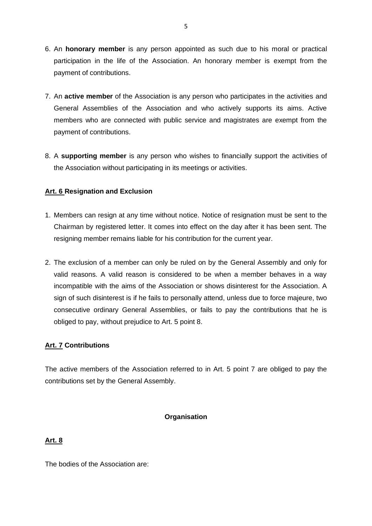- 6. An **honorary member** is any person appointed as such due to his moral or practical participation in the life of the Association. An honorary member is exempt from the payment of contributions.
- 7. An **active member** of the Association is any person who participates in the activities and General Assemblies of the Association and who actively supports its aims. Active members who are connected with public service and magistrates are exempt from the payment of contributions.
- 8. A **supporting member** is any person who wishes to financially support the activities of the Association without participating in its meetings or activities.

# **Art. 6 Resignation and Exclusion**

- 1. Members can resign at any time without notice. Notice of resignation must be sent to the Chairman by registered letter. It comes into effect on the day after it has been sent. The resigning member remains liable for his contribution for the current year.
- 2. The exclusion of a member can only be ruled on by the General Assembly and only for valid reasons. A valid reason is considered to be when a member behaves in a way incompatible with the aims of the Association or shows disinterest for the Association. A sign of such disinterest is if he fails to personally attend, unless due to force majeure, two consecutive ordinary General Assemblies, or fails to pay the contributions that he is obliged to pay, without prejudice to Art. 5 point 8.

### **Art. 7 Contributions**

The active members of the Association referred to in Art. 5 point 7 are obliged to pay the contributions set by the General Assembly.

### **Organisation**

### **Art. 8**

The bodies of the Association are: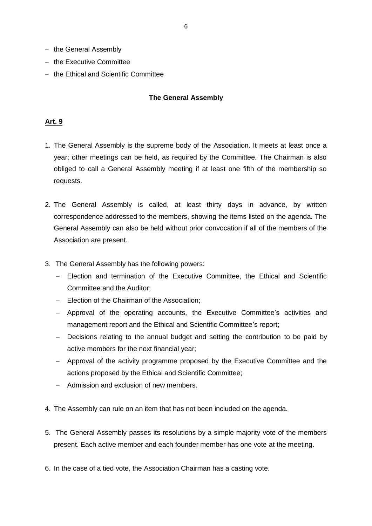- − the General Assembly
- − the Executive Committee
- − the Ethical and Scientific Committee

### **The General Assembly**

### **Art. 9**

- 1. The General Assembly is the supreme body of the Association. It meets at least once a year; other meetings can be held, as required by the Committee. The Chairman is also obliged to call a General Assembly meeting if at least one fifth of the membership so requests.
- 2. The General Assembly is called, at least thirty days in advance, by written correspondence addressed to the members, showing the items listed on the agenda. The General Assembly can also be held without prior convocation if all of the members of the Association are present.
- 3. The General Assembly has the following powers:
	- − Election and termination of the Executive Committee, the Ethical and Scientific Committee and the Auditor;
	- − Election of the Chairman of the Association;
	- − Approval of the operating accounts, the Executive Committee's activities and management report and the Ethical and Scientific Committee's report;
	- − Decisions relating to the annual budget and setting the contribution to be paid by active members for the next financial year;
	- − Approval of the activity programme proposed by the Executive Committee and the actions proposed by the Ethical and Scientific Committee;
	- − Admission and exclusion of new members.
- 4. The Assembly can rule on an item that has not been included on the agenda.
- 5. The General Assembly passes its resolutions by a simple majority vote of the members present. Each active member and each founder member has one vote at the meeting.
- 6. In the case of a tied vote, the Association Chairman has a casting vote.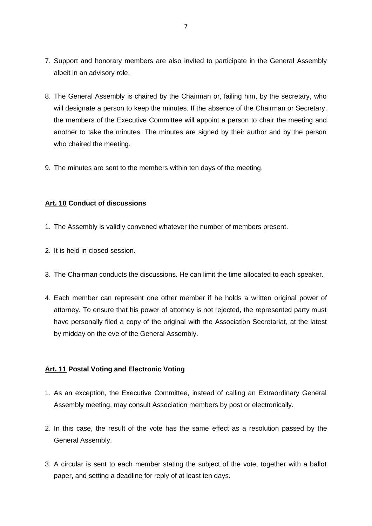- 7. Support and honorary members are also invited to participate in the General Assembly albeit in an advisory role.
- 8. The General Assembly is chaired by the Chairman or, failing him, by the secretary, who will designate a person to keep the minutes. If the absence of the Chairman or Secretary, the members of the Executive Committee will appoint a person to chair the meeting and another to take the minutes. The minutes are signed by their author and by the person who chaired the meeting.
- 9. The minutes are sent to the members within ten days of the meeting.

### **Art. 10 Conduct of discussions**

- 1. The Assembly is validly convened whatever the number of members present.
- 2. It is held in closed session.
- 3. The Chairman conducts the discussions. He can limit the time allocated to each speaker.
- 4. Each member can represent one other member if he holds a written original power of attorney. To ensure that his power of attorney is not rejected, the represented party must have personally filed a copy of the original with the Association Secretariat, at the latest by midday on the eve of the General Assembly.

# **Art. 11 Postal Voting and Electronic Voting**

- 1. As an exception, the Executive Committee, instead of calling an Extraordinary General Assembly meeting, may consult Association members by post or electronically.
- 2. In this case, the result of the vote has the same effect as a resolution passed by the General Assembly.
- 3. A circular is sent to each member stating the subject of the vote, together with a ballot paper, and setting a deadline for reply of at least ten days.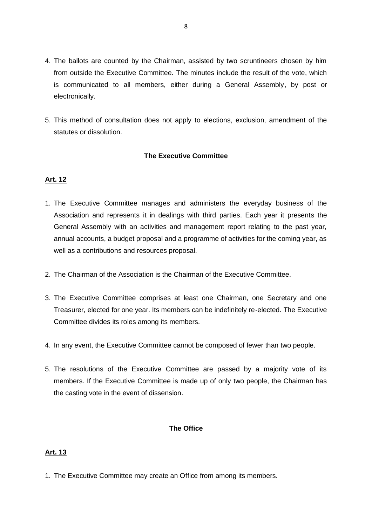- 4. The ballots are counted by the Chairman, assisted by two scruntineers chosen by him from outside the Executive Committee. The minutes include the result of the vote, which is communicated to all members, either during a General Assembly, by post or electronically.
- 5. This method of consultation does not apply to elections, exclusion, amendment of the statutes or dissolution.

#### **The Executive Committee**

### **Art. 12**

- 1. The Executive Committee manages and administers the everyday business of the Association and represents it in dealings with third parties. Each year it presents the General Assembly with an activities and management report relating to the past year, annual accounts, a budget proposal and a programme of activities for the coming year, as well as a contributions and resources proposal.
- 2. The Chairman of the Association is the Chairman of the Executive Committee.
- 3. The Executive Committee comprises at least one Chairman, one Secretary and one Treasurer, elected for one year. Its members can be indefinitely re-elected. The Executive Committee divides its roles among its members.
- 4. In any event, the Executive Committee cannot be composed of fewer than two people.
- 5. The resolutions of the Executive Committee are passed by a majority vote of its members. If the Executive Committee is made up of only two people, the Chairman has the casting vote in the event of dissension.

### **The Office**

### **Art. 13**

1. The Executive Committee may create an Office from among its members.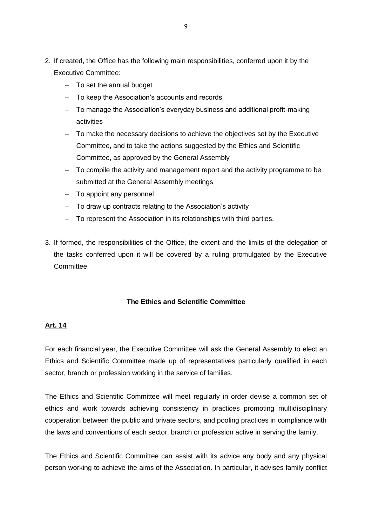- 2. If created, the Office has the following main responsibilities, conferred upon it by the Executive Committee:
	- − To set the annual budget
	- − To keep the Association's accounts and records
	- − To manage the Association's everyday business and additional profit-making activities
	- − To make the necessary decisions to achieve the objectives set by the Executive Committee, and to take the actions suggested by the Ethics and Scientific Committee, as approved by the General Assembly
	- − To compile the activity and management report and the activity programme to be submitted at the General Assembly meetings
	- − To appoint any personnel
	- − To draw up contracts relating to the Association's activity
	- − To represent the Association in its relationships with third parties.
- 3. If formed, the responsibilities of the Office, the extent and the limits of the delegation of the tasks conferred upon it will be covered by a ruling promulgated by the Executive Committee.

### **The Ethics and Scientific Committee**

### **Art. 14**

For each financial year, the Executive Committee will ask the General Assembly to elect an Ethics and Scientific Committee made up of representatives particularly qualified in each sector, branch or profession working in the service of families.

The Ethics and Scientific Committee will meet regularly in order devise a common set of ethics and work towards achieving consistency in practices promoting multidisciplinary cooperation between the public and private sectors, and pooling practices in compliance with the laws and conventions of each sector, branch or profession active in serving the family.

The Ethics and Scientific Committee can assist with its advice any body and any physical person working to achieve the aims of the Association. In particular, it advises family conflict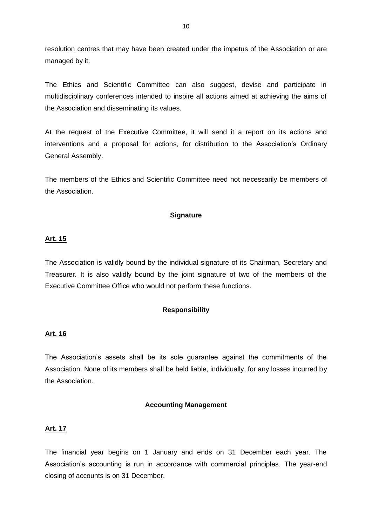resolution centres that may have been created under the impetus of the Association or are managed by it.

The Ethics and Scientific Committee can also suggest, devise and participate in multidisciplinary conferences intended to inspire all actions aimed at achieving the aims of the Association and disseminating its values.

At the request of the Executive Committee, it will send it a report on its actions and interventions and a proposal for actions, for distribution to the Association's Ordinary General Assembly.

The members of the Ethics and Scientific Committee need not necessarily be members of the Association.

#### **Signature**

#### **Art. 15**

The Association is validly bound by the individual signature of its Chairman, Secretary and Treasurer. It is also validly bound by the joint signature of two of the members of the Executive Committee Office who would not perform these functions.

#### **Responsibility**

#### **Art. 16**

The Association's assets shall be its sole guarantee against the commitments of the Association. None of its members shall be held liable, individually, for any losses incurred by the Association.

#### **Accounting Management**

### **Art. 17**

The financial year begins on 1 January and ends on 31 December each year. The Association's accounting is run in accordance with commercial principles. The year-end closing of accounts is on 31 December.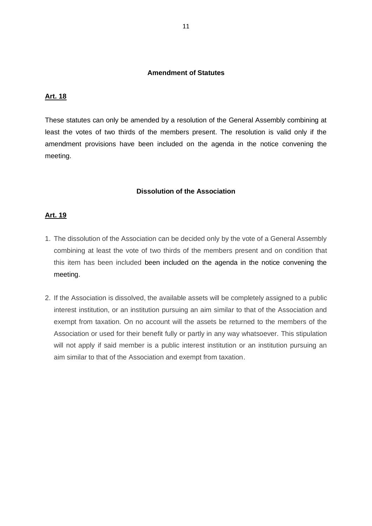### **Amendment of Statutes**

#### **Art. 18**

These statutes can only be amended by a resolution of the General Assembly combining at least the votes of two thirds of the members present. The resolution is valid only if the amendment provisions have been included on the agenda in the notice convening the meeting.

#### **Dissolution of the Association**

#### **Art. 19**

- 1. The dissolution of the Association can be decided only by the vote of a General Assembly combining at least the vote of two thirds of the members present and on condition that this item has been included been included on the agenda in the notice convening the meeting.
- 2. If the Association is dissolved, the available assets will be completely assigned to a public interest institution, or an institution pursuing an aim similar to that of the Association and exempt from taxation. On no account will the assets be returned to the members of the Association or used for their benefit fully or partly in any way whatsoever. This stipulation will not apply if said member is a public interest institution or an institution pursuing an aim similar to that of the Association and exempt from taxation.